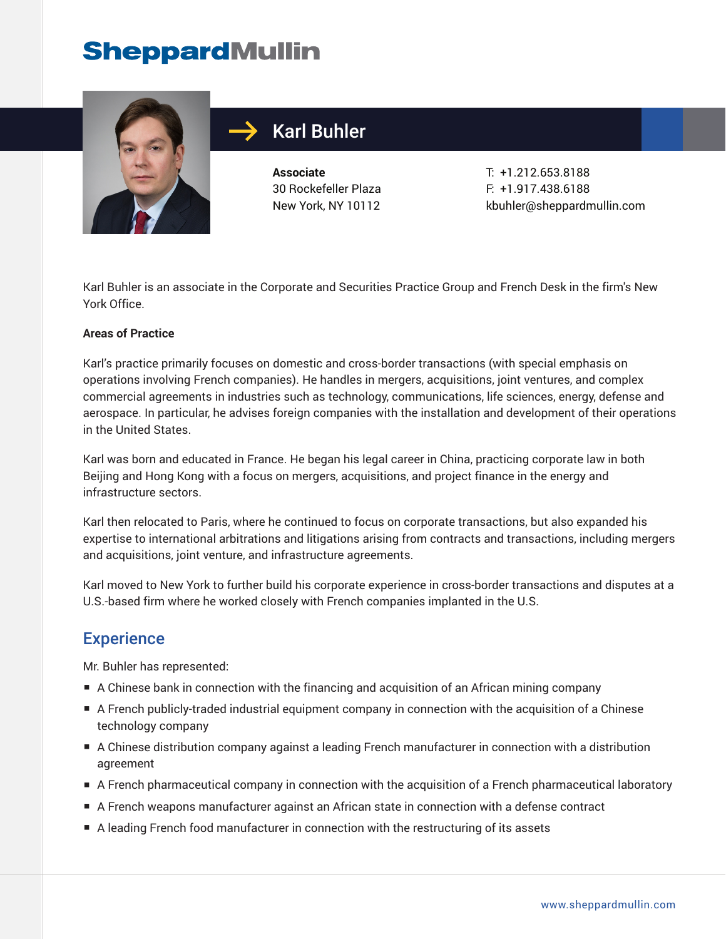# **SheppardMullin**



## Karl Buhler

**Associate** 30 Rockefeller Plaza New York, NY 10112

T: +1.212.653.8188 F: +1.917.438.6188 kbuhler@sheppardmullin.com

Karl Buhler is an associate in the Corporate and Securities Practice Group and French Desk in the firm's New York Office.

#### **Areas of Practice**

Karl's practice primarily focuses on domestic and cross-border transactions (with special emphasis on operations involving French companies). He handles in mergers, acquisitions, joint ventures, and complex commercial agreements in industries such as technology, communications, life sciences, energy, defense and aerospace. In particular, he advises foreign companies with the installation and development of their operations in the United States.

Karl was born and educated in France. He began his legal career in China, practicing corporate law in both Beijing and Hong Kong with a focus on mergers, acquisitions, and project finance in the energy and infrastructure sectors.

Karl then relocated to Paris, where he continued to focus on corporate transactions, but also expanded his expertise to international arbitrations and litigations arising from contracts and transactions, including mergers and acquisitions, joint venture, and infrastructure agreements.

Karl moved to New York to further build his corporate experience in cross-border transactions and disputes at a U.S.-based firm where he worked closely with French companies implanted in the U.S.

### **Experience**

Mr. Buhler has represented:

- A Chinese bank in connection with the financing and acquisition of an African mining company
- A French publicly-traded industrial equipment company in connection with the acquisition of a Chinese technology company
- A Chinese distribution company against a leading French manufacturer in connection with a distribution agreement
- A French pharmaceutical company in connection with the acquisition of a French pharmaceutical laboratory
- A French weapons manufacturer against an African state in connection with a defense contract
- A leading French food manufacturer in connection with the restructuring of its assets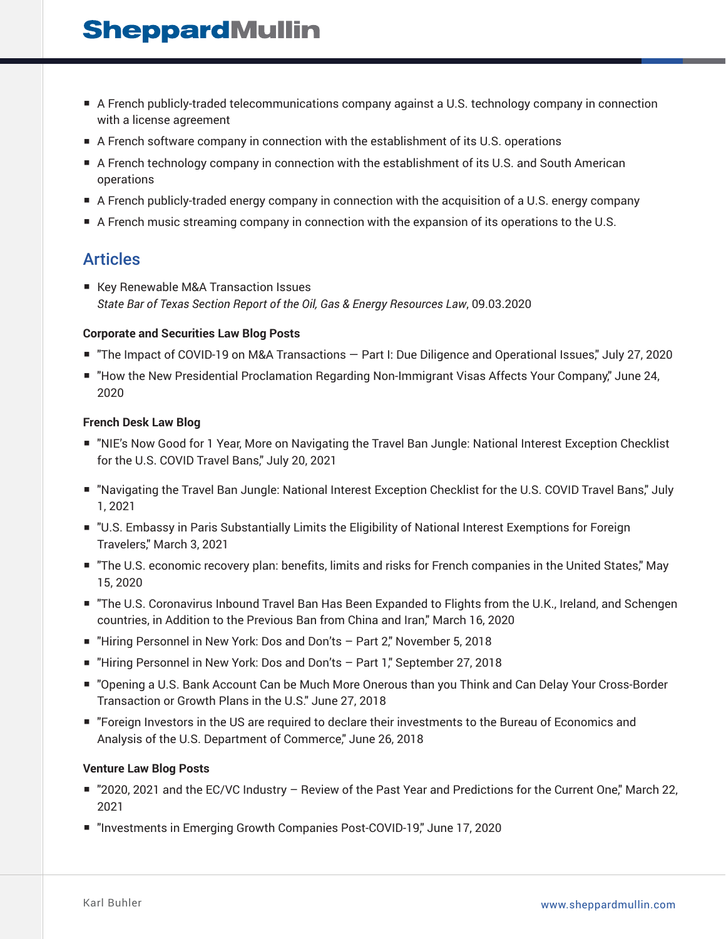# **SheppardMullin**

- A French publicly-traded telecommunications company against a U.S. technology company in connection with a license agreement
- A French software company in connection with the establishment of its U.S. operations
- A French technology company in connection with the establishment of its U.S. and South American operations
- A French publicly-traded energy company in connection with the acquisition of a U.S. energy company
- A French music streaming company in connection with the expansion of its operations to the U.S.

### Articles

■ Key Renewable M&A Transaction Issues *State Bar of Texas Section Report of the Oil, Gas & Energy Resources Law*, 09.03.2020

#### **Corporate and Securities Law Blog Posts**

- "The Impact of COVID-19 on M&A Transactions Part I: Due Diligence and Operational Issues," July 27, 2020
- "How the New Presidential Proclamation Regarding Non-Immigrant Visas Affects Your Company," June 24, 2020

#### **French Desk Law Blog**

- "NIE's Now Good for 1 Year, More on Navigating the Travel Ban Jungle: National Interest Exception Checklist for the U.S. COVID Travel Bans," July 20, 2021
- "Navigating the Travel Ban Jungle: National Interest Exception Checklist for the U.S. COVID Travel Bans," July 1, 2021
- "U.S. Embassy in Paris Substantially Limits the Eligibility of National Interest Exemptions for Foreign Travelers," March 3, 2021
- "The U.S. economic recovery plan: benefits, limits and risks for French companies in the United States," May 15, 2020
- "The U.S. Coronavirus Inbound Travel Ban Has Been Expanded to Flights from the U.K., Ireland, and Schengen countries, in Addition to the Previous Ban from China and Iran," March 16, 2020
- "Hiring Personnel in New York: Dos and Don'ts Part 2," November 5, 2018
- "Hiring Personnel in New York: Dos and Don'ts Part 1," September 27, 2018
- "Opening a U.S. Bank Account Can be Much More Onerous than you Think and Can Delay Your Cross-Border Transaction or Growth Plans in the U.S." June 27, 2018
- "Foreign Investors in the US are required to declare their investments to the Bureau of Economics and Analysis of the U.S. Department of Commerce," June 26, 2018

#### **Venture Law Blog Posts**

- "2020, 2021 and the EC/VC Industry Review of the Past Year and Predictions for the Current One," March 22, 2021
- "Investments in Emerging Growth Companies Post-COVID-19," June 17, 2020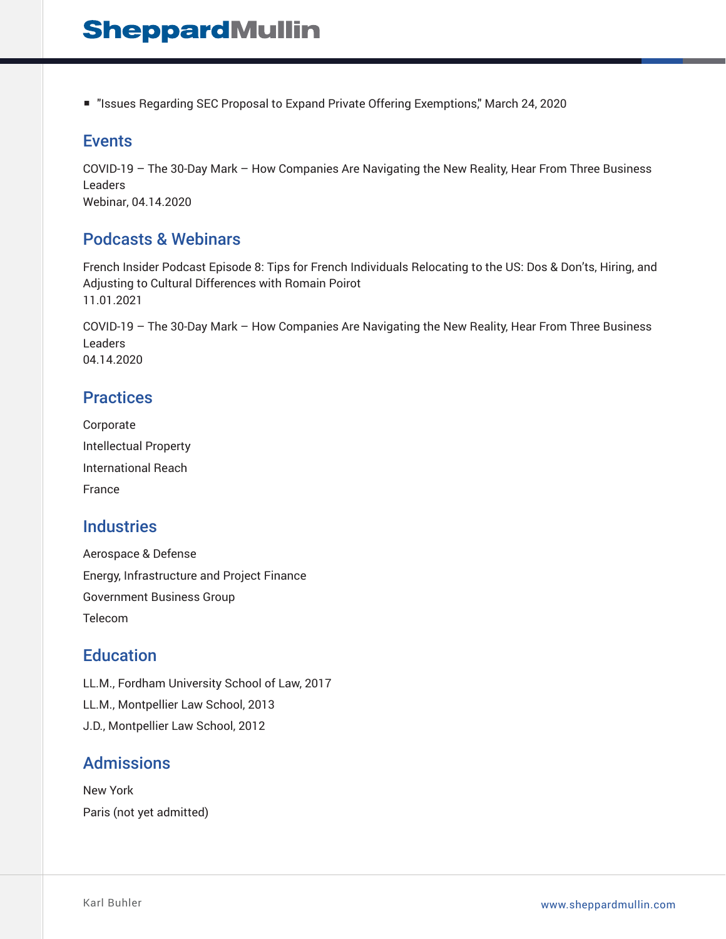■ "Issues Regarding SEC Proposal to Expand Private Offering Exemptions," March 24, 2020

#### Events

COVID-19 – The 30-Day Mark – How Companies Are Navigating the New Reality, Hear From Three Business Leaders Webinar, 04.14.2020

### Podcasts & Webinars

French Insider Podcast Episode 8: Tips for French Individuals Relocating to the US: Dos & Don'ts, Hiring, and Adjusting to Cultural Differences with Romain Poirot 11.01.2021

COVID-19 – The 30-Day Mark – How Companies Are Navigating the New Reality, Hear From Three Business Leaders 04.14.2020

#### **Practices**

Corporate Intellectual Property International Reach France

### **Industries**

Aerospace & Defense Energy, Infrastructure and Project Finance Government Business Group Telecom

#### **Education**

LL.M., Fordham University School of Law, 2017 LL.M., Montpellier Law School, 2013 J.D., Montpellier Law School, 2012

## Admissions

New York Paris (not yet admitted)